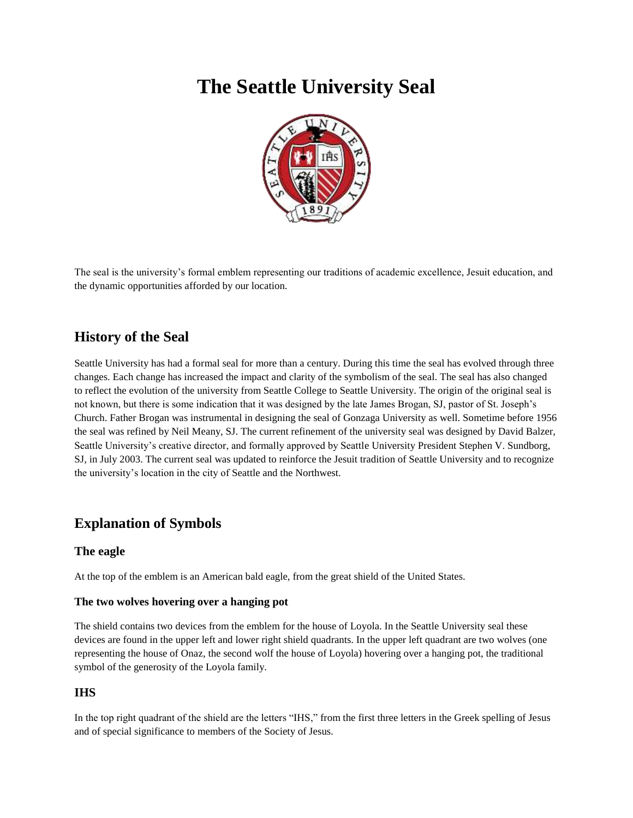# **The Seattle University Seal**



The seal is the university's formal emblem representing our traditions of academic excellence, Jesuit education, and the dynamic opportunities afforded by our location.

# **History of the Seal**

Seattle University has had a formal seal for more than a century. During this time the seal has evolved through three changes. Each change has increased the impact and clarity of the symbolism of the seal. The seal has also changed to reflect the evolution of the university from Seattle College to Seattle University. The origin of the original seal is not known, but there is some indication that it was designed by the late James Brogan, SJ, pastor of St. Joseph's Church. Father Brogan was instrumental in designing the seal of Gonzaga University as well. Sometime before 1956 the seal was refined by Neil Meany, SJ. The current refinement of the university seal was designed by David Balzer, Seattle University's creative director, and formally approved by Seattle University President Stephen V. Sundborg, SJ, in July 2003. The current seal was updated to reinforce the Jesuit tradition of Seattle University and to recognize the university's location in the city of Seattle and the Northwest.

# **Explanation of Symbols**

# **The eagle**

At the top of the emblem is an American bald eagle, from the great shield of the United States.

#### **The two wolves hovering over a hanging pot**

The shield contains two devices from the emblem for the house of Loyola. In the Seattle University seal these devices are found in the upper left and lower right shield quadrants. In the upper left quadrant are two wolves (one representing the house of Onaz, the second wolf the house of Loyola) hovering over a hanging pot, the traditional symbol of the generosity of the Loyola family.

# **IHS**

In the top right quadrant of the shield are the letters "IHS," from the first three letters in the Greek spelling of Jesus and of special significance to members of the Society of Jesus.